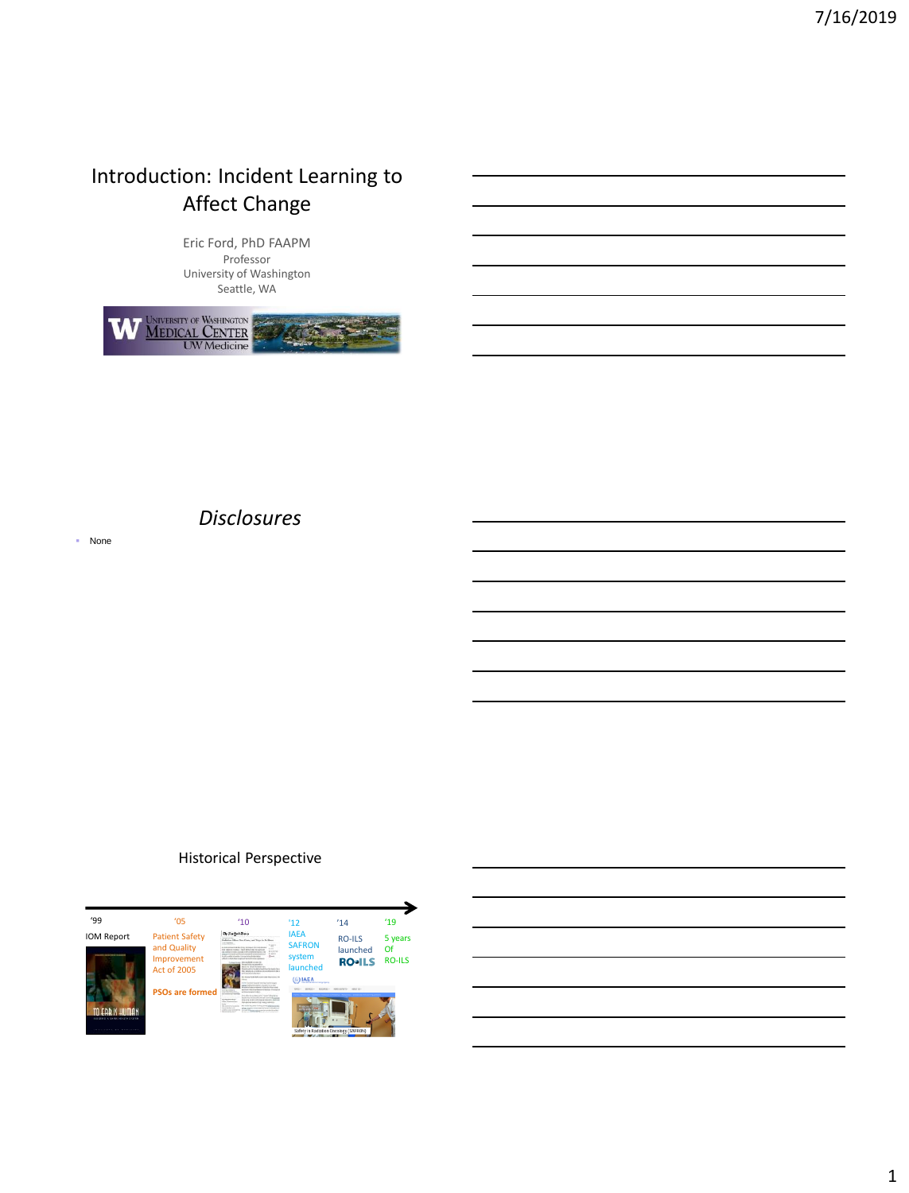## Introduction: Incident Learning to Affect Change

Eric Ford, PhD FAAPM Professor University of Washington Seattle, WA



■ None

### *Disclosures*

### Historical Perspective

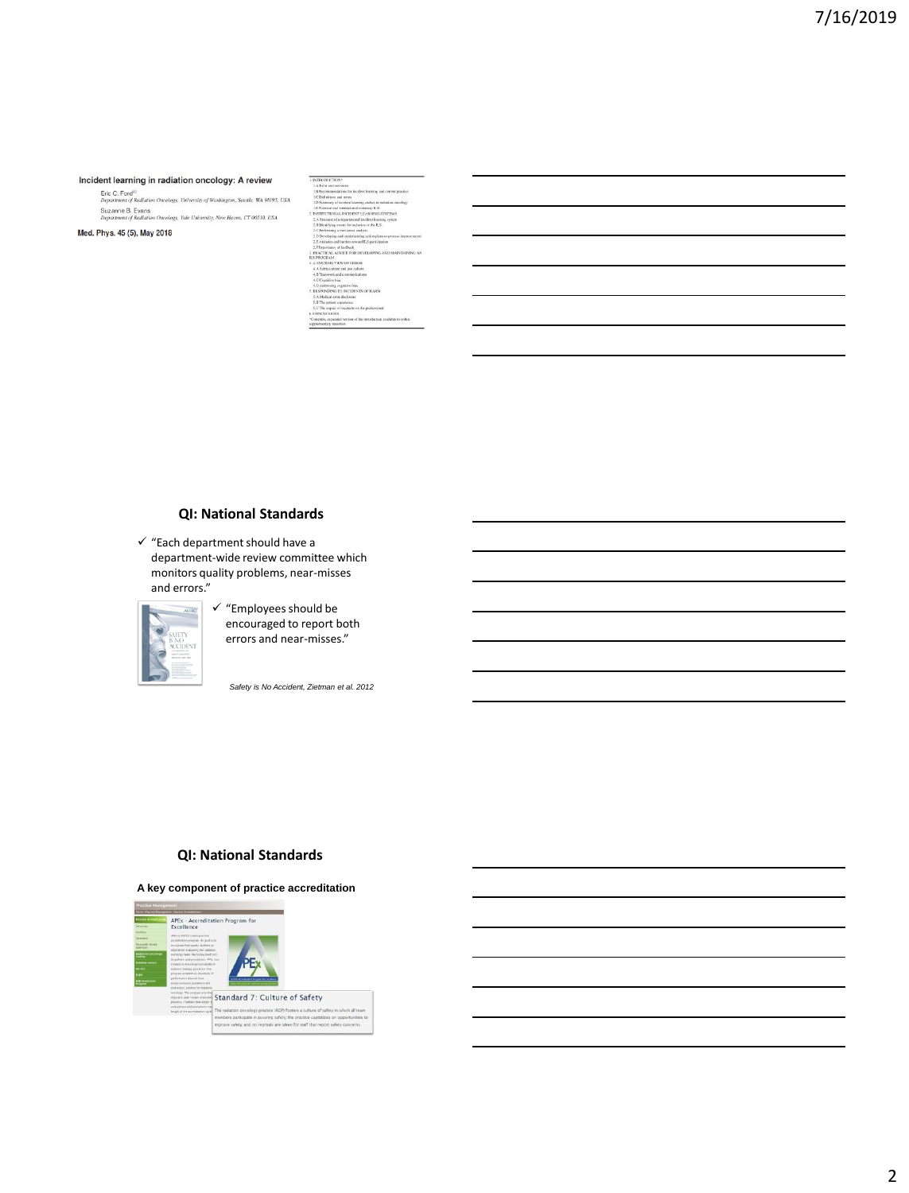#### Incident learning in radiation oncology: A review

Eric C. Ford<sup>a)</sup><br>Department of Radiation Oncology, University of Washington, Seattle, WA 98195, USA<br>Suzanna B. Evans Suzanne B. Evans<br>
Department of Radiation Oncology, Yale University, New Haven, CT 06510, USA<br>
Department of Radiation Oncology, Yale University, New Haven, CT 06510, USA

Med. Phys. 45 (5), May 2018

| .                                                                                               |  |
|-------------------------------------------------------------------------------------------------|--|
| 1.6 From and currences.                                                                         |  |
| 1.B Recommendations for incident learning and current practice                                  |  |
| LC Definitions and terms                                                                        |  |
| 1.D Summary of incident learning studies in radiation oncology                                  |  |
| LE National and international voluntary ILS                                                     |  |
| 2. INSTITUTIONAL INCIDENT LEARNING SYSTEMS                                                      |  |
| 2.A Spurane of a departmental incident learning system.                                         |  |
| 2.B Mentifying events for inclusion in the B.S.                                                 |  |
| 2.C Performing a reen-cause analysis.                                                           |  |
| 2.D Developing and implementing action plans or process improvement                             |  |
| 2.E.Atitudes and barriers toward ILS participation.                                             |  |
| 2.F Irroommor of fredback                                                                       |  |
| 3. PRACTICAL ADVICE FOR DEVELOPING AND MAINTAINING.                                             |  |
| <b>ILS PROGRAM</b>                                                                              |  |
| A SYSTEMS VIEW OF ERROR                                                                         |  |
| 4.A Safety culture and just culture.                                                            |  |
| 4.B Teamwork and communications                                                                 |  |
| 4.C Cognitive high                                                                              |  |
| 4.D Addressing cognitive Nos.                                                                   |  |
| 5. RESPONDING TO INCIDENTS OF HARM                                                              |  |
| 5.A Medical error disclosure                                                                    |  |
| 5.B The patient experience.                                                                     |  |
| 5.C'The impact of incidents on the professional                                                 |  |
| 6 CONCLUSIONS                                                                                   |  |
| *Complete, expanded version of the introduction available in online<br>supplementary materials. |  |
|                                                                                                 |  |

#### **QI: National Standards**

 $\checkmark$  "Each department should have a department-wide review committee which monitors quality problems, near-misses and errors."



✓ "Employees should be encouraged to report both errors and near-misses."

*Safety is No Accident, Zietman et al. 2012*

#### **QI: National Standards**

#### **A key component of practice accreditation**

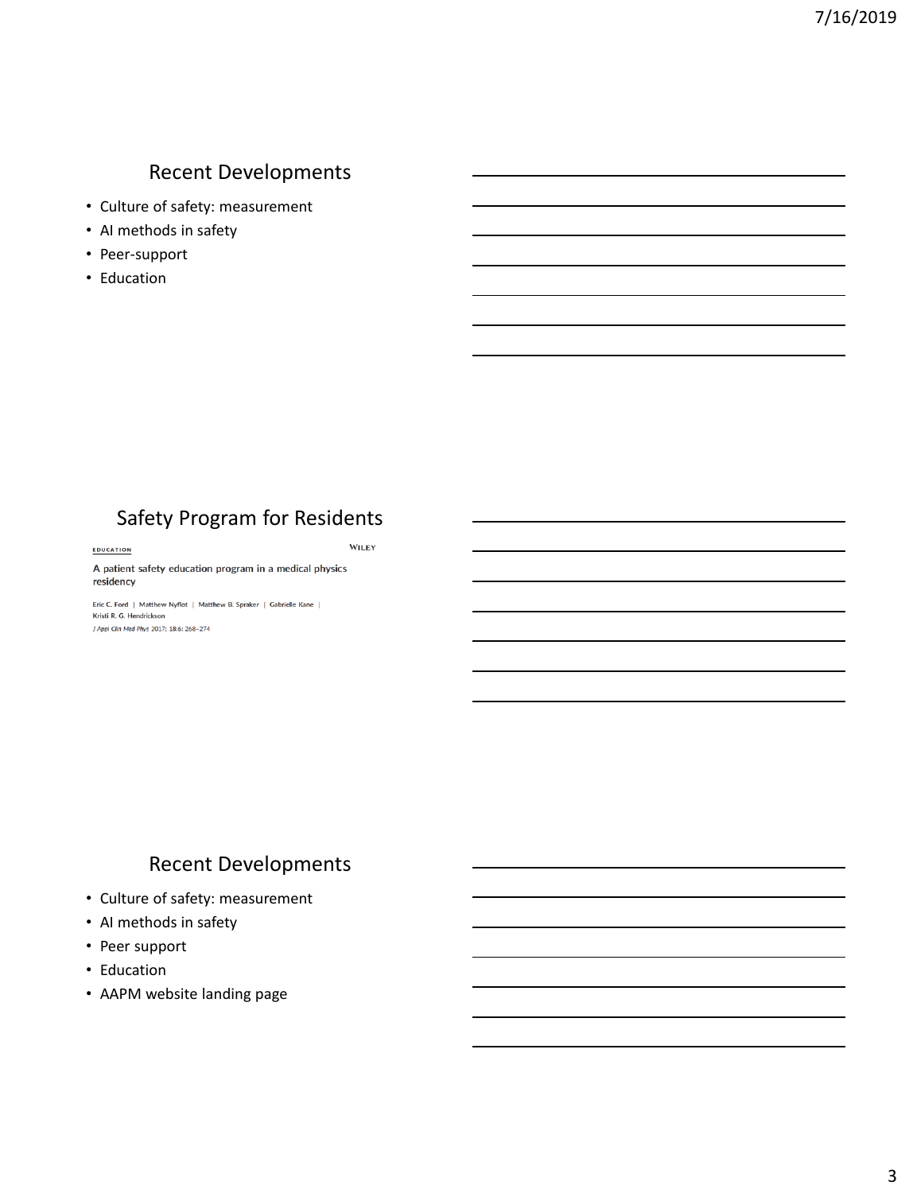## Recent Developments

- Culture of safety: measurement
- AI methods in safety
- Peer-support
- Education

## Safety Program for Residents

WILEY

EDUCATION

#### A patient safety education program in a medical physics residency

Eric C. Ford | Matthew Nyflot | Matthew B. Spraker | Gabrielle Kane | Kristi R. G. Hendrickson J Appl Clin Med Phys 2017; 18:6: 268-274

## Recent Developments

- Culture of safety: measurement
- AI methods in safety
- Peer support
- Education
- AAPM website landing page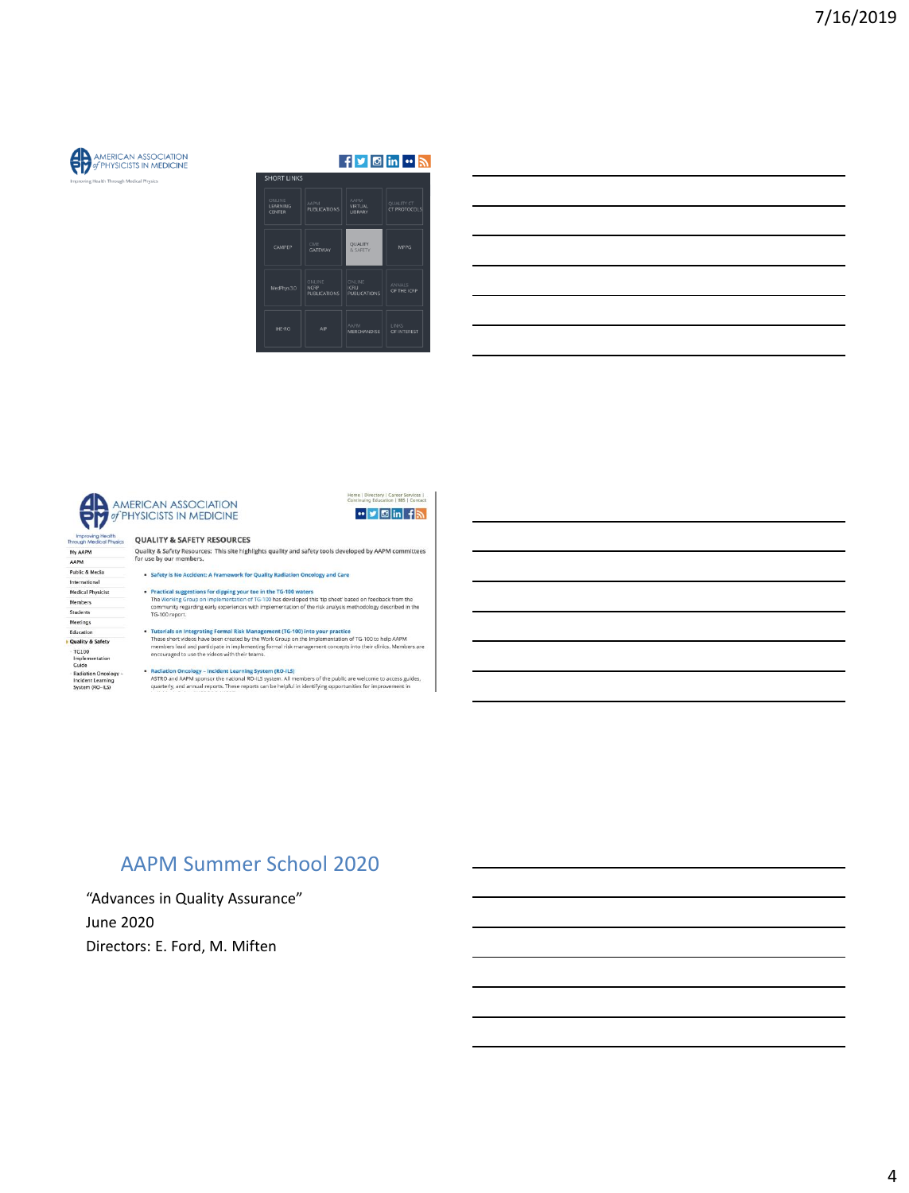

#### $f$   $\blacksquare$   $\blacksquare$   $\blacksquare$   $\blacksquare$

| ONLINE<br>LEARNING<br><b>CENTER</b> | <b>AAPM</b><br><b>PUBLICATIONS</b>           | <b>AAPM</b><br>VIRTUAL<br><b>LIBRARY</b>     | <b>OUALITY CT</b><br>CT PROTOCOLS |
|-------------------------------------|----------------------------------------------|----------------------------------------------|-----------------------------------|
| CAMPEP                              | CME<br><b>GATEWAY</b>                        | QUALITY<br>& SAFETY                          | <b>MPPG</b>                       |
| MedPhys 3.0                         | ONLINE<br><b>NCRP</b><br><b>PUBLICATIONS</b> | ONLINE<br><b>ICRU</b><br><b>PUBLICATIONS</b> | <b>ANNALS</b><br>OF THE ICRP      |
| <b>IHE-RO</b>                       | AIP                                          | <b>AAPM</b><br>MERCHANDISE                   | LINKS<br>OF INTEREST              |

# AMERICAN ASSOCIATION

**QUALITY & SAFETY RESOURCES** 

#### Improving Health<br>Through Medical Phy My AAPM

AAPM Public & Media

- International Medical Physicist
- Members
- Students
- 
- Meetings Education<br>• Quality & Safety

Quality & Safety<br>TG100<br>Guide<br>Guide<br>Radiation Oncology –<br>Incident Learning<br>System (RO-ILS)

## Quality & Safety Resources: This site highlights quality and safety tools developed by AAPM committees<br>for use by our members.

Home | Directory | Career Services |<br>Continuing Education | BBS | Contact

**"y** ⊠ in fla

- · Safety is No Accident: A Framework for Quality Radiation Oncology and Care
- Practical suggestions for dipping your toe in the TG-100 waters<br>The Working Group on implementation of TG-100 has developed this 'tip sheet' based on feedback from the<br>community regarding early experiences with implementat
- $\bullet$  Tutorials on Integrating Formal Risk Management (TG-100) into your practice<br>These short videos have been created by the Work Group on the Implementation of TG-100 to help AAPM<br>members lead and participate in implemen
- 
- 
- Radiation Oncology Incident Learning System (RO-ILS)<br>ASTRO and ARPM sponsor the national RO-ILS system. All members of the public are welcome to access guides.<br>quarterly, and annual reports. These reports can be helpful

## **AAPM Summer School 2020**

"Advances in Quality Assurance" **June 2020** Directors: E. Ford, M. Miften